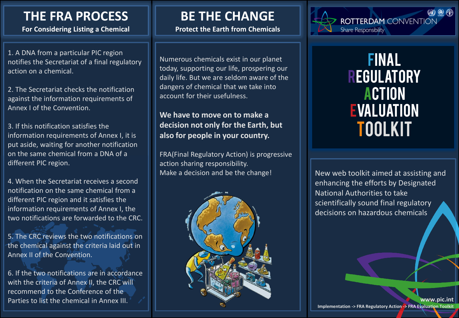## **THE FRA PROCESS**

**For Considering Listing a Chemical**

1. A DNA from a particular PIC region notifies the Secretariat of a final regulatory action on a chemical.

2. The Secretariat checks the notification against the information requirements of Annex I of the Convention.

3. If this notification satisfies the information requirements of Annex I, it is put aside, waiting for another notification on the same chemical from a DNA of a different PIC region.

4. When the Secretariat receives a second notification on the same chemical from a different PIC region and it satisfies the information requirements of Annex I, the two notifications are forwarded to the CRC.

5. The CRC reviews the two notifications on the chemical against the criteria laid out in Annex II of the Convention.

6. If the two notifications are in accordance with the criteria of Annex II, the CRC will recommend to the Conference of the Parties to list the chemical in Annex III.

## **BE THE CHANGE**

**Protect the Earth from Chemicals**

Numerous chemicals exist in our planet today, supporting our life, prospering our daily life. But we are seldom aware of the dangers of chemical that we take into account for their usefulness.

## **We have to move on to make a decision not only for the Earth, but also for people in your country.**

FRA(Final Regulatory Action) is progressive action sharing responsibility. Make a decision and be the change!





Final **REGULATORY ACTION EVALUATION** Toolkit

New web toolkit aimed at assisting and enhancing the efforts by Designated National Authorities to take scientifically sound final regulatory decisions on hazardous chemicals

**www.pic.int Implementation -> FRA Regulatory Action -> FRA Evaluation Toolkit**